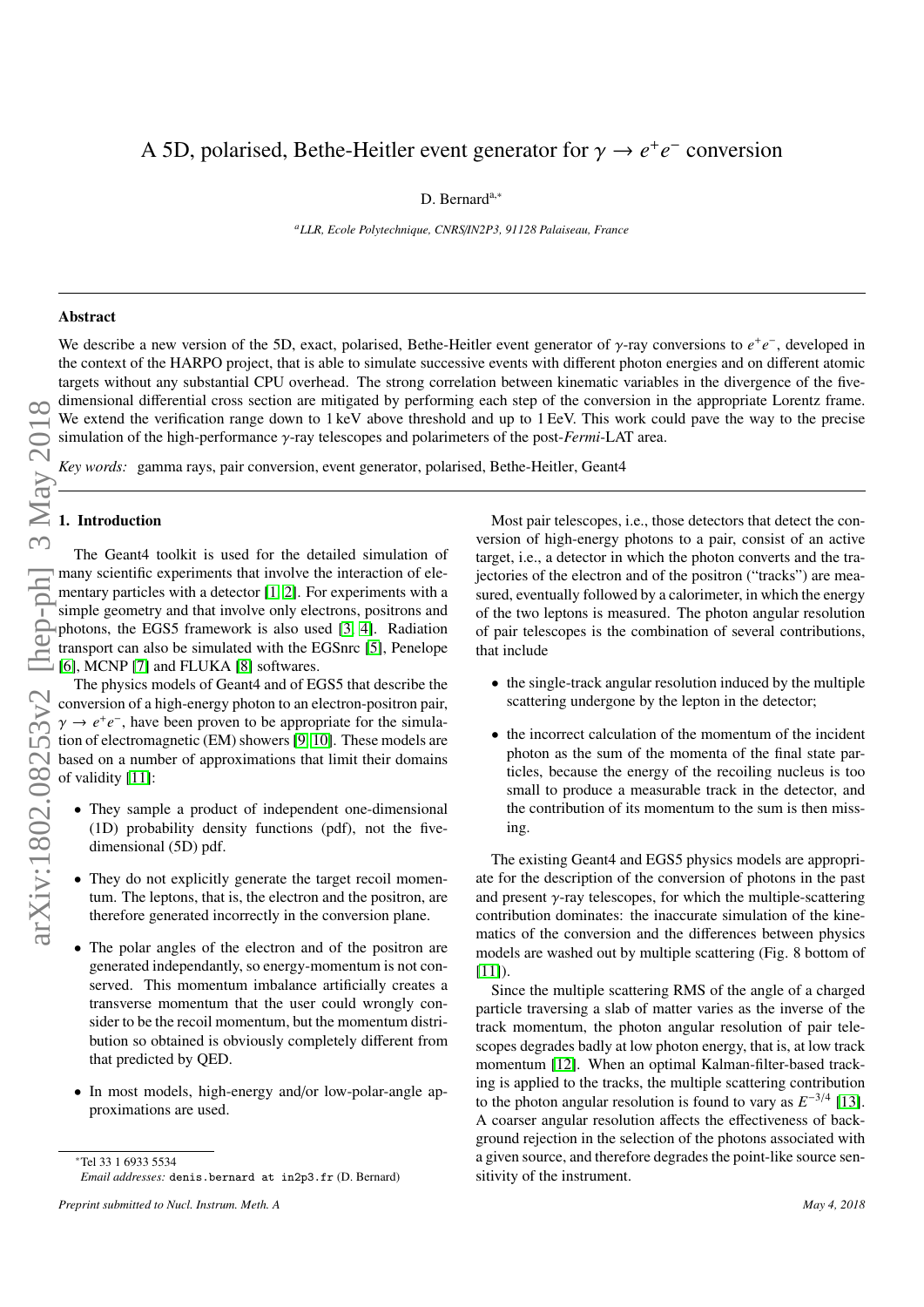# A 5D, polarised, Bethe-Heitler event generator for  $\gamma \rightarrow e^+e^-$  conversion

D. Bernard<sup>a,∗</sup>

*<sup>a</sup>LLR, Ecole Polytechnique, CNRS*/*IN2P3, 91128 Palaiseau, France*

# Abstract

We describe a new version of the 5D, exact, polarised, Bethe-Heitler event generator of  $\gamma$ -ray conversions to  $e^+e^-$ , developed in<br>the context of the HARPO project, that is able to simulate successive events with diffe the context of the HARPO project, that is able to simulate successive events with different photon energies and on different atomic targets without any substantial CPU overhead. The strong correlation between kinematic variables in the divergence of the fivedimensional differential cross section are mitigated by performing each step of the conversion in the appropriate Lorentz frame. We extend the verification range down to 1 keV above threshold and up to 1 EeV. This work could pave the way to the precise simulation of the high-performance γ-ray telescopes and polarimeters of the post-*Fermi*-LAT area.

*Key words:* gamma rays, pair conversion, event generator, polarised, Bethe-Heitler, Geant4

# 1. Introduction

The Geant4 toolkit is used for the detailed simulation of many scientific experiments that involve the interaction of elementary particles with a detector [\[1,](#page-8-0) [2\]](#page-8-1). For experiments with a simple geometry and that involve only electrons, positrons and photons, the EGS5 framework is also used [\[3,](#page-8-2) [4\]](#page-8-3). Radiation transport can also be simulated with the EGSnrc [\[5\]](#page-8-4), Penelope [\[6\]](#page-8-5), MCNP [\[7\]](#page-8-6) and FLUKA [\[8\]](#page-8-7) softwares.

The physics models of Geant4 and of EGS5 that describe the conversion of a high-energy photon to an electron-positron pair,  $\gamma \rightarrow e^+e^-$ , have been proven to be appropriate for the simulation of electromagnetic (EM) showers [9, 10]. These models are tion of electromagnetic (EM) showers [\[9,](#page-8-8) [10\]](#page-8-9). These models are based on a number of approximations that limit their domains of validity [\[11\]](#page-8-10):

- They sample a product of independent one-dimensional (1D) probability density functions (pdf), not the fivedimensional (5D) pdf.
- They do not explicitly generate the target recoil momentum. The leptons, that is, the electron and the positron, are therefore generated incorrectly in the conversion plane.
- The polar angles of the electron and of the positron are generated independantly, so energy-momentum is not conserved. This momentum imbalance artificially creates a transverse momentum that the user could wrongly consider to be the recoil momentum, but the momentum distribution so obtained is obviously completely different from that predicted by QED.
- In most models, high-energy and/or low-polar-angle approximations are used.

Most pair telescopes, i.e., those detectors that detect the conversion of high-energy photons to a pair, consist of an active target, i.e., a detector in which the photon converts and the trajectories of the electron and of the positron ("tracks") are measured, eventually followed by a calorimeter, in which the energy of the two leptons is measured. The photon angular resolution of pair telescopes is the combination of several contributions, that include

- the single-track angular resolution induced by the multiple scattering undergone by the lepton in the detector;
- the incorrect calculation of the momentum of the incident photon as the sum of the momenta of the final state particles, because the energy of the recoiling nucleus is too small to produce a measurable track in the detector, and the contribution of its momentum to the sum is then missing.

The existing Geant4 and EGS5 physics models are appropriate for the description of the conversion of photons in the past and present  $\gamma$ -ray telescopes, for which the multiple-scattering contribution dominates: the inaccurate simulation of the kinematics of the conversion and the differences between physics models are washed out by multiple scattering (Fig. 8 bottom of  $[11]$ ).

Since the multiple scattering RMS of the angle of a charged particle traversing a slab of matter varies as the inverse of the track momentum, the photon angular resolution of pair telescopes degrades badly at low photon energy, that is, at low track momentum [\[12\]](#page-8-11). When an optimal Kalman-filter-based tracking is applied to the tracks, the multiple scattering contribution to the photon angular resolution is found to vary as  $E^{-3/4}$  [\[13\]](#page-8-12). A coarser angular resolution affects the effectiveness of background rejection in the selection of the photons associated with a given source, and therefore degrades the point-like source sensitivity of the instrument.

<sup>∗</sup>Tel 33 1 6933 5534 *Email addresses:* denis.bernard at in2p3.fr (D. Bernard)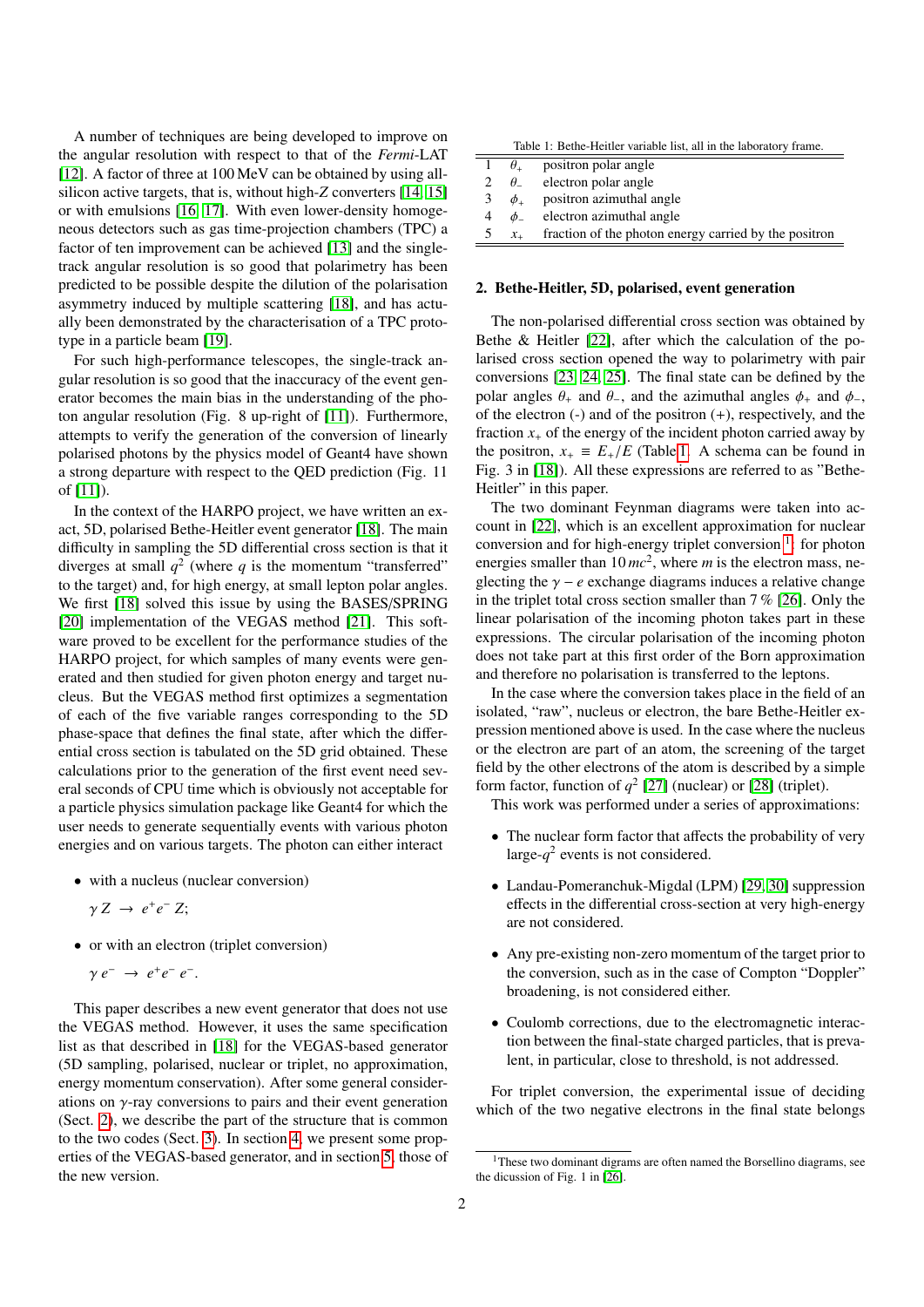A number of techniques are being developed to improve on the angular resolution with respect to that of the *Fermi*-LAT [\[12\]](#page-8-11). A factor of three at 100 MeV can be obtained by using allsilicon active targets, that is, without high-*Z* converters [\[14,](#page-8-13) [15\]](#page-8-14) or with emulsions [\[16,](#page-8-15) [17\]](#page-8-16). With even lower-density homogeneous detectors such as gas time-projection chambers (TPC) a factor of ten improvement can be achieved [\[13\]](#page-8-12) and the singletrack angular resolution is so good that polarimetry has been predicted to be possible despite the dilution of the polarisation asymmetry induced by multiple scattering [\[18\]](#page-8-17), and has actually been demonstrated by the characterisation of a TPC prototype in a particle beam [\[19\]](#page-8-18).

For such high-performance telescopes, the single-track angular resolution is so good that the inaccuracy of the event generator becomes the main bias in the understanding of the photon angular resolution (Fig. 8 up-right of [\[11\]](#page-8-10)). Furthermore, attempts to verify the generation of the conversion of linearly polarised photons by the physics model of Geant4 have shown a strong departure with respect to the QED prediction (Fig. 11 of [\[11\]](#page-8-10)).

In the context of the HARPO project, we have written an exact, 5D, polarised Bethe-Heitler event generator [\[18\]](#page-8-17). The main difficulty in sampling the 5D differential cross section is that it diverges at small  $q^2$  (where q is the momentum "transferred" to the target) and, for high energy, at small lepton polar angles. We first [\[18\]](#page-8-17) solved this issue by using the BASES/SPRING [\[20\]](#page-8-19) implementation of the VEGAS method [\[21\]](#page-8-20). This software proved to be excellent for the performance studies of the HARPO project, for which samples of many events were generated and then studied for given photon energy and target nucleus. But the VEGAS method first optimizes a segmentation of each of the five variable ranges corresponding to the 5D phase-space that defines the final state, after which the differential cross section is tabulated on the 5D grid obtained. These calculations prior to the generation of the first event need several seconds of CPU time which is obviously not acceptable for a particle physics simulation package like Geant4 for which the user needs to generate sequentially events with various photon energies and on various targets. The photon can either interact

- with a nucleus (nuclear conversion)
	- $\gamma Z \rightarrow e^+e^- Z;$
- or with an electron (triplet conversion)

$$
\gamma e^- \rightarrow e^+e^- e^-.
$$

This paper describes a new event generator that does not use the VEGAS method. However, it uses the same specification list as that described in [\[18\]](#page-8-17) for the VEGAS-based generator (5D sampling, polarised, nuclear or triplet, no approximation, energy momentum conservation). After some general considerations on  $\gamma$ -ray conversions to pairs and their event generation (Sect. [2\)](#page-1-0), we describe the part of the structure that is common to the two codes (Sect. [3\)](#page-2-0). In section [4,](#page-3-0) we present some properties of the VEGAS-based generator, and in section [5,](#page-3-1) those of the new version.

<span id="page-1-1"></span>

| Table 1: Bethe-Heitler variable list, all in the laboratory frame. |                     |                                                       |  |  |
|--------------------------------------------------------------------|---------------------|-------------------------------------------------------|--|--|
|                                                                    | $\theta_{+}$        | positron polar angle                                  |  |  |
| 2                                                                  | $\theta_{-}$        | electron polar angle                                  |  |  |
| 3                                                                  | $\phi$ <sub>+</sub> | positron azimuthal angle                              |  |  |
| 4                                                                  | $\phi$              | electron azimuthal angle                              |  |  |
| 5                                                                  | $x_{+}$             | fraction of the photon energy carried by the positron |  |  |

## <span id="page-1-0"></span>2. Bethe-Heitler, 5D, polarised, event generation

The non-polarised differential cross section was obtained by Bethe & Heitler [\[22\]](#page-8-21), after which the calculation of the polarised cross section opened the way to polarimetry with pair conversions [\[23,](#page-8-22) [24,](#page-8-23) [25\]](#page-8-24). The final state can be defined by the polar angles  $\theta_+$  and  $\theta_-$ , and the azimuthal angles  $\phi_+$  and  $\phi_-$ , of the electron  $(-)$  and of the positron  $(+)$ , respectively, and the fraction  $x<sub>+</sub>$  of the energy of the incident photon carried away by the positron,  $x_+ \equiv E_+/E$  (Table [1.](#page-1-1) A schema can be found in Fig. 3 in [\[18\]](#page-8-17)). All these expressions are referred to as "Bethe-Heitler" in this paper.

The two dominant Feynman diagrams were taken into account in [\[22\]](#page-8-21), which is an excellent approximation for nuclear conversion and for high-energy triplet conversion<sup>[1](#page-1-2)</sup>: for photon energies smaller than 10  $mc^2$ , where *m* is the electron mass, neglecting the  $\gamma - e$  exchange diagrams induces a relative change in the triplet total cross section smaller than 7 % [\[26\]](#page-8-25). Only the linear polarisation of the incoming photon takes part in these expressions. The circular polarisation of the incoming photon does not take part at this first order of the Born approximation and therefore no polarisation is transferred to the leptons.

In the case where the conversion takes place in the field of an isolated, "raw", nucleus or electron, the bare Bethe-Heitler expression mentioned above is used. In the case where the nucleus or the electron are part of an atom, the screening of the target field by the other electrons of the atom is described by a simple form factor, function of  $q^2$  [\[27\]](#page-8-26) (nuclear) or [\[28\]](#page-8-27) (triplet).

This work was performed under a series of approximations:

- The nuclear form factor that affects the probability of very large- $q^2$  events is not considered.
- Landau-Pomeranchuk-Migdal (LPM) [\[29,](#page-8-28) [30\]](#page-8-29) suppression effects in the differential cross-section at very high-energy are not considered.
- Any pre-existing non-zero momentum of the target prior to the conversion, such as in the case of Compton "Doppler" broadening, is not considered either.
- Coulomb corrections, due to the electromagnetic interaction between the final-state charged particles, that is prevalent, in particular, close to threshold, is not addressed.

For triplet conversion, the experimental issue of deciding which of the two negative electrons in the final state belongs

<span id="page-1-2"></span><sup>&</sup>lt;sup>1</sup>These two dominant digrams are often named the Borsellino diagrams, see the dicussion of Fig. 1 in [\[26\]](#page-8-25).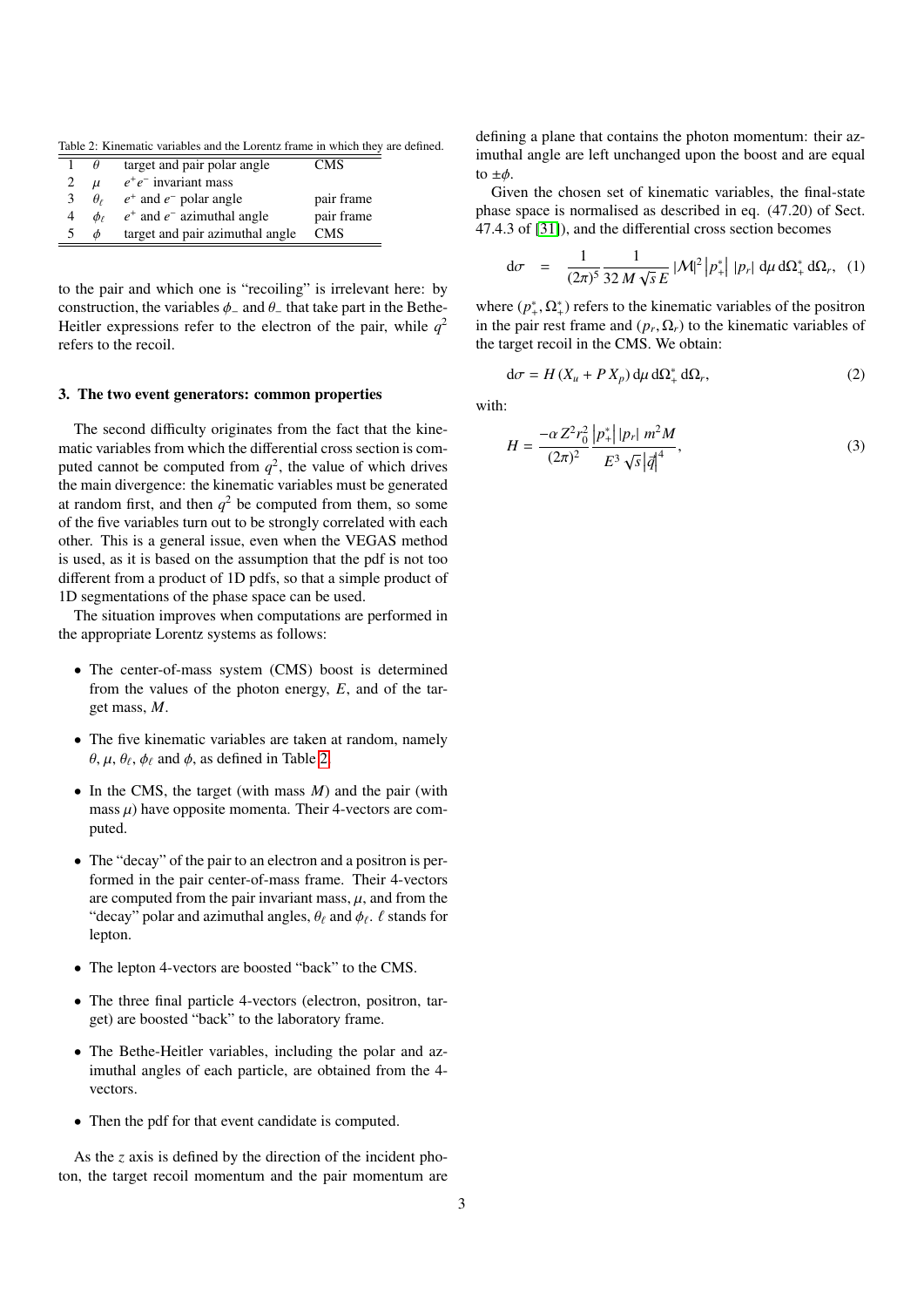Table 2: Kinematic variables and the Lorentz frame in which they are defined.

<span id="page-2-1"></span>

|   | $\theta$        | target and pair polar angle     | CMS        |
|---|-----------------|---------------------------------|------------|
|   | $\mu$           | $e^+e^-$ invariant mass         |            |
| 3 | $\theta_{\ell}$ | $e^+$ and $e^-$ polar angle     | pair frame |
| 4 | $\phi_{\ell}$   | $e^+$ and $e^-$ azimuthal angle | pair frame |
|   | $\phi$          | target and pair azimuthal angle | <b>CMS</b> |
|   |                 |                                 |            |

to the pair and which one is "recoiling" is irrelevant here: by construction, the variables  $\phi$ <sub>-</sub> and  $\theta$ <sub>-</sub> that take part in the Bethe-Heitler expressions refer to the electron of the pair, while  $q^2$ refers to the recoil.

#### <span id="page-2-0"></span>3. The two event generators: common properties

The second difficulty originates from the fact that the kinematic variables from which the differential cross section is computed cannot be computed from  $q^2$ , the value of which drives the main divergence: the kinematic variables must be generated at random first, and then  $q^2$  be computed from them, so some of the five variables turn out to be strongly correlated with each other. This is a general issue, even when the VEGAS method is used, as it is based on the assumption that the pdf is not too different from a product of 1D pdfs, so that a simple product of 1D segmentations of the phase space can be used.

The situation improves when computations are performed in the appropriate Lorentz systems as follows:

- The center-of-mass system (CMS) boost is determined from the values of the photon energy, *E*, and of the target mass, *M*.
- The five kinematic variables are taken at random, namely  $\theta$ ,  $\mu$ ,  $\theta_{\ell}$ ,  $\phi_{\ell}$  and  $\phi$ , as defined in Table [2.](#page-2-1)
- In the CMS, the target (with mass *M*) and the pair (with mass  $\mu$ ) have opposite momenta. Their 4-vectors are computed.
- The "decay" of the pair to an electron and a positron is performed in the pair center-of-mass frame. Their 4-vectors are computed from the pair invariant mass,  $\mu$ , and from the "decay" polar and azimuthal angles,  $\theta_{\ell}$  and  $\phi_{\ell}$ .  $\ell$  stands for lepton lepton.
- The lepton 4-vectors are boosted "back" to the CMS.
- The three final particle 4-vectors (electron, positron, target) are boosted "back" to the laboratory frame.
- The Bethe-Heitler variables, including the polar and azimuthal angles of each particle, are obtained from the 4 vectors.
- Then the pdf for that event candidate is computed.

As the *z* axis is defined by the direction of the incident photon, the target recoil momentum and the pair momentum are

defining a plane that contains the photon momentum: their azimuthal angle are left unchanged upon the boost and are equal to  $\pm\phi$ .

Given the chosen set of kinematic variables, the final-state phase space is normalised as described in eq. (47.20) of Sect. 47.4.3 of [\[31\]](#page-8-30)), and the differential cross section becomes

$$
d\sigma = \frac{1}{(2\pi)^5} \frac{1}{32 M \sqrt{s} E} |\mathcal{M}|^2 |p_+^*| |p_r| d\mu d\Omega_+^* d\Omega_r, (1)
$$

where  $(p^*, \Omega^*_+)$  refers to the kinematic variables of the positron<br>in the pair rest frame and  $(p, \Omega)$  to the kinematic variables of in the pair rest frame and  $(p_r, \Omega_r)$  to the kinematic variables of<br>the target recoil in the CMS. We obtain: the target recoil in the CMS. We obtain:

$$
d\sigma = H(X_u + PX_p) d\mu d\Omega_+^* d\Omega_r, \qquad (2)
$$

with:

$$
H = \frac{-\alpha Z^2 r_0^2}{(2\pi)^2} \frac{|p_+^*| |p_r| m^2 M}{E^3 \sqrt{s} |\vec{q}|^4},\tag{3}
$$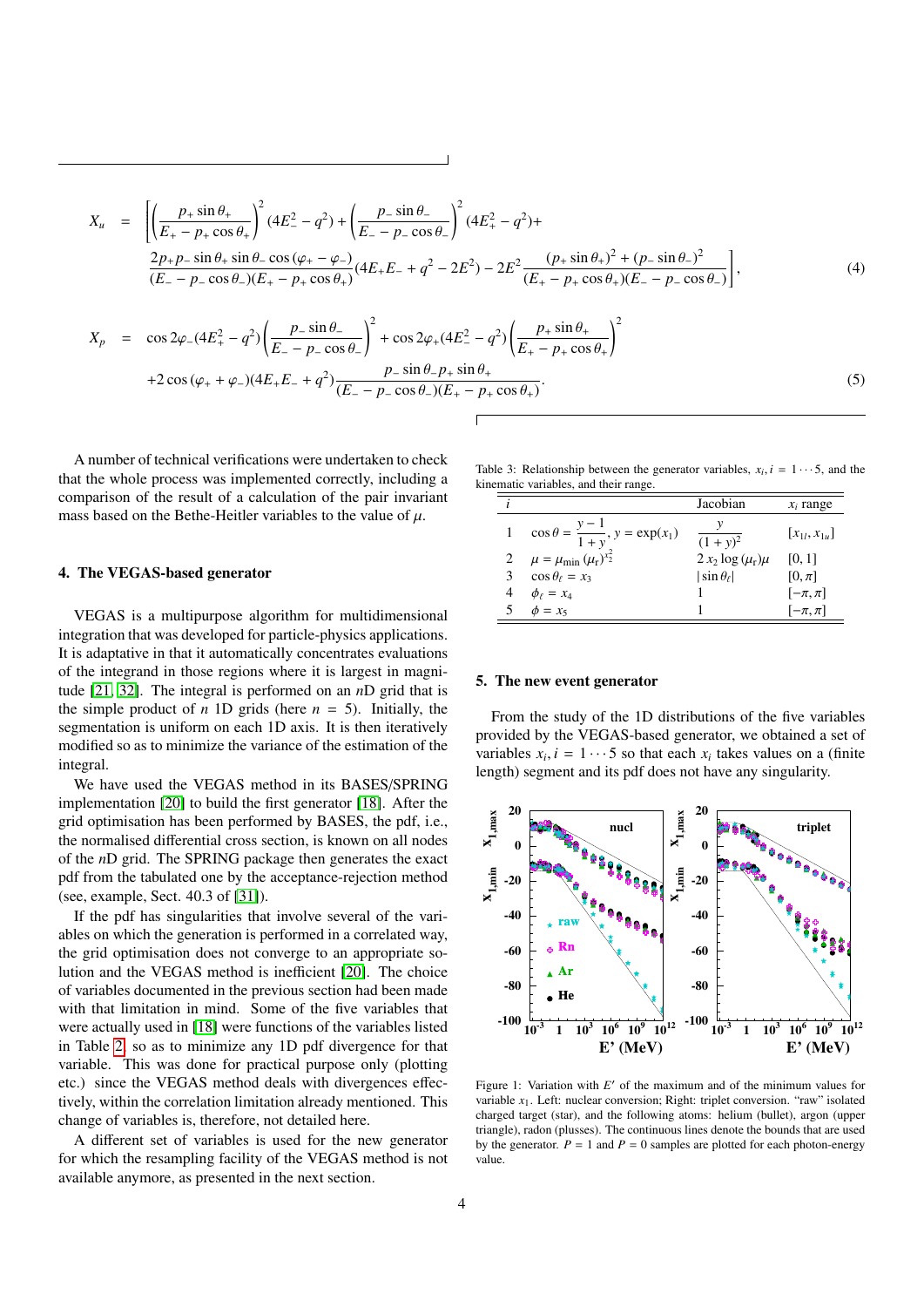$$
X_u = \left[ \left( \frac{p_+ \sin \theta_+}{E_+ - p_+ \cos \theta_+} \right)^2 (4E_-^2 - q^2) + \left( \frac{p_- \sin \theta_-}{E_- - p_- \cos \theta_-} \right)^2 (4E_+^2 - q^2) + \frac{2p_+ p_- \sin \theta_+ \sin \theta_- \cos (\varphi_+ - \varphi_-)}{(E_- - p_- \cos \theta_-)(E_+ - p_+ \cos \theta_+)} (4E_+ E_- + q^2 - 2E^2) - 2E^2 \frac{(p_+ \sin \theta_+)^2 + (p_- \sin \theta_-)^2}{(E_+ - p_+ \cos \theta_+)(E_- - p_- \cos \theta_-)} \right],
$$
\n(4)

$$
X_p = \cos 2\varphi_{-}(4E_{+}^2 - q^2) \left(\frac{p_{-} \sin \theta_{-}}{E_{-} - p_{-} \cos \theta_{-}}\right)^2 + \cos 2\varphi_{+}(4E_{-}^2 - q^2) \left(\frac{p_{+} \sin \theta_{+}}{E_{+} - p_{+} \cos \theta_{+}}\right)^2
$$
  
+2 cos  $(\varphi_{+} + \varphi_{-})(4E_{+}E_{-} + q^2) \frac{p_{-} \sin \theta_{-}p_{+} \sin \theta_{+}}{(E_{-} - p_{-} \cos \theta_{-})(E_{+} - p_{+} \cos \theta_{+})}$  (5)

A number of technical verifications were undertaken to check that the whole process was implemented correctly, including a comparison of the result of a calculation of the pair invariant mass based on the Bethe-Heitler variables to the value of  $\mu$ .

## <span id="page-3-0"></span>4. The VEGAS-based generator

VEGAS is a multipurpose algorithm for multidimensional integration that was developed for particle-physics applications. It is adaptative in that it automatically concentrates evaluations of the integrand in those regions where it is largest in magnitude [\[21,](#page-8-20) [32\]](#page-8-31). The integral is performed on an *n*D grid that is the simple product of *n* 1D grids (here  $n = 5$ ). Initially, the segmentation is uniform on each 1D axis. It is then iteratively modified so as to minimize the variance of the estimation of the integral.

We have used the VEGAS method in its BASES/SPRING implementation [\[20\]](#page-8-19) to build the first generator [\[18\]](#page-8-17). After the grid optimisation has been performed by BASES, the pdf, i.e., the normalised differential cross section, is known on all nodes of the *n*D grid. The SPRING package then generates the exact pdf from the tabulated one by the acceptance-rejection method (see, example, Sect. 40.3 of [\[31\]](#page-8-30)).

If the pdf has singularities that involve several of the variables on which the generation is performed in a correlated way, the grid optimisation does not converge to an appropriate solution and the VEGAS method is inefficient [\[20\]](#page-8-19). The choice of variables documented in the previous section had been made with that limitation in mind. Some of the five variables that were actually used in [\[18\]](#page-8-17) were functions of the variables listed in Table [2,](#page-2-1) so as to minimize any 1D pdf divergence for that variable. This was done for practical purpose only (plotting etc.) since the VEGAS method deals with divergences effectively, within the correlation limitation already mentioned. This change of variables is, therefore, not detailed here.

A different set of variables is used for the new generator for which the resampling facility of the VEGAS method is not available anymore, as presented in the next section.

| Table 3: Relationship between the generator variables, $x_i$ , $i = 1 \cdots 5$ , and the |  |  |
|-------------------------------------------------------------------------------------------|--|--|
| kinematic variables, and their range.                                                     |  |  |

<span id="page-3-2"></span>

|                                                | Jacobian                | $x_i$ range        |
|------------------------------------------------|-------------------------|--------------------|
| $\cos \theta = \frac{y-1}{1+y}, y = \exp(x_1)$ | $(1 + y)^2$             | $[x_{1l}, x_{1u}]$ |
| $\mu = \mu_{\min} (\mu_{r})^{x_2^2}$           | $2 x_2 \log(\mu_r) \mu$ | [0, 1]             |
| $\cos \theta_{\ell} = x_3$                     | $ \sin \theta_{\ell} $  | $[0, \pi]$         |
| $\phi_{\ell} = x_4$                            |                         | $[-\pi, \pi]$      |
| $\phi = x_5$                                   |                         | $[-\pi, \pi]$      |
|                                                |                         |                    |

#### <span id="page-3-1"></span>5. The new event generator

From the study of the 1D distributions of the five variables provided by the VEGAS-based generator, we obtained a set of variables  $x_i$ ,  $i = 1 \cdots 5$  so that each  $x_i$  takes values on a (finite length) segment and its ndf does not have any singularity length) segment and its pdf does not have any singularity.



<span id="page-3-3"></span>Figure 1: Variation with  $E'$  of the maximum and of the minimum values for variable *x*1. Left: nuclear conversion; Right: triplet conversion. "raw" isolated charged target (star), and the following atoms: helium (bullet), argon (upper triangle), radon (plusses). The continuous lines denote the bounds that are used by the generator.  $P = 1$  and  $P = 0$  samples are plotted for each photon-energy value.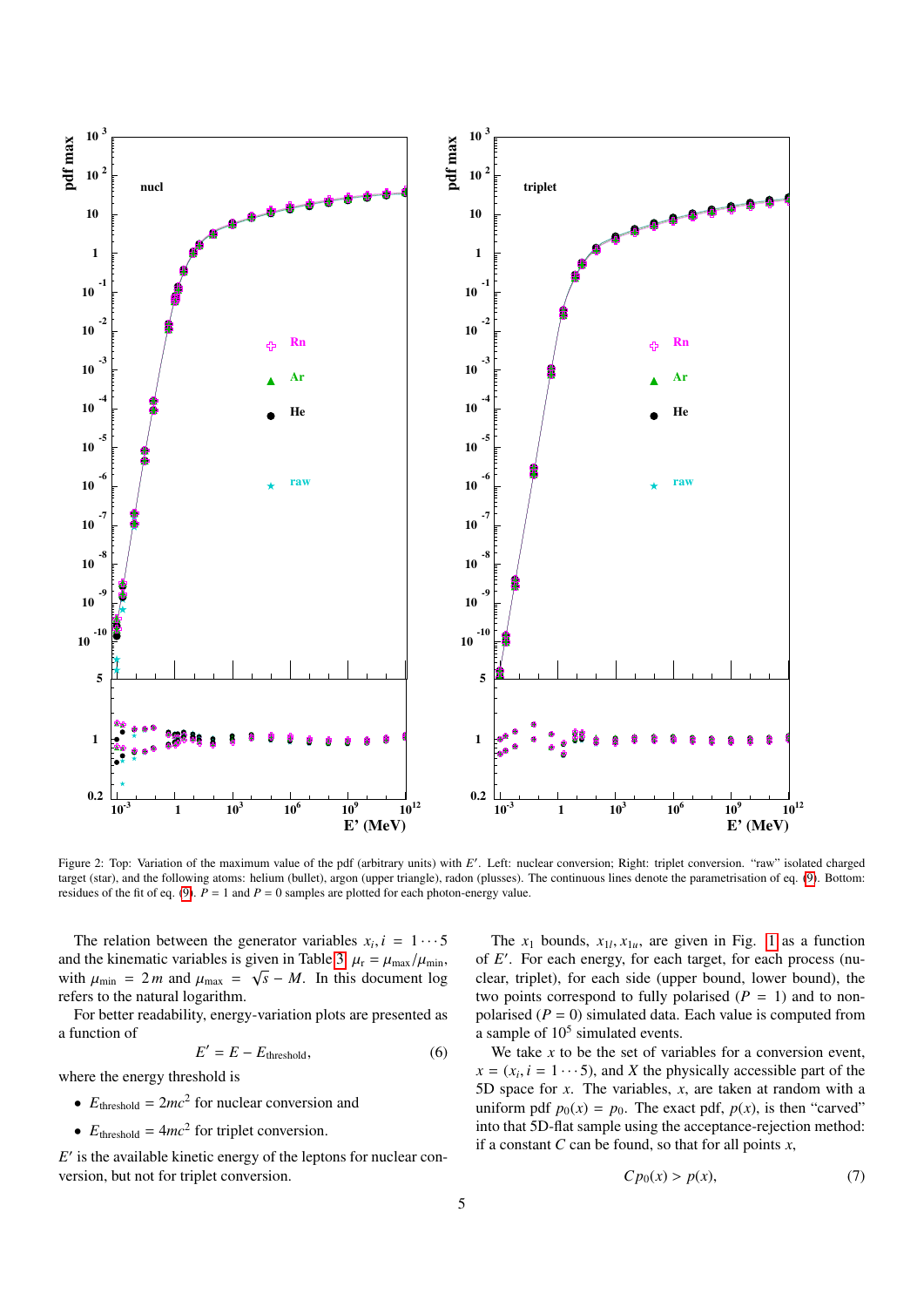

<span id="page-4-0"></span>Figure 2: Top: Variation of the maximum value of the pdf (arbitrary units) with E'. Left: nuclear conversion; Right: triplet conversion. "raw" isolated charged target (star), and the following atoms: helium (bullet), argon (upper triangle), radon (plusses). The continuous lines denote the parametrisation of eq. [\(9\)](#page-5-0). Bottom: residues of the fit of eq. [\(9\)](#page-5-0).  $\vec{P} = 1$  and  $\vec{P} = 0$  samples are plotted for each photon-energy value.

The relation between the generator variables  $x_i$ ,  $i = 1 \cdots 5$ <br>d the kinematic variables is given in Table 3,  $u = u - \sqrt{u + 5}$ and the kinematic variables is given in Table [3.](#page-3-2)  $\mu_r = \mu_{max}/\mu_{min}$ ,<br>with  $\mu = 2m$  and  $\mu = \sqrt{s} = M$ . In this document log with  $\mu_{\min} = 2m$  and  $\mu_{\max} = \sqrt{s} - M$ . In this document log refers to the natural logarithm refers to the natural logarithm.

For better readability, energy-variation plots are presented as a function of

$$
E' = E - E_{\text{threshold}},\tag{6}
$$

where the energy threshold is

- $E_{\text{threshold}} = 2mc^2$  for nuclear conversion and
- $E_{\text{threshold}} = 4mc^2$  for triplet conversion.

 $E'$  is the available kinetic energy of the leptons for nuclear conversion, but not for triplet conversion.

The  $x_1$  bounds,  $x_{1l}$ ,  $x_{1u}$ , are given in Fig. [1](#page-3-3) as a function  $F'$ . For each precess (pu of *E'*. For each energy, for each target, for each process (nuclear, triplet), for each side (upper bound, lower bound), the two points correspond to fully polarised  $(P = 1)$  and to nonpolarised  $(P = 0)$  simulated data. Each value is computed from a sample of  $10<sup>5</sup>$  simulated events.

We take *x* to be the set of variables for a conversion event,  $x = (x_i, i = 1 \cdots 5)$ , and *X* the physically accessible part of the 5D space for *x*. The variables *x* are taken at random with a 5D space for *x*. The variables, *x*, are taken at random with a uniform pdf  $p_0(x) = p_0$ . The exact pdf,  $p(x)$ , is then "carved" into that 5D-flat sample using the acceptance-rejection method: if a constant *C* can be found, so that for all points *x*,

$$
C p_0(x) > p(x),\tag{7}
$$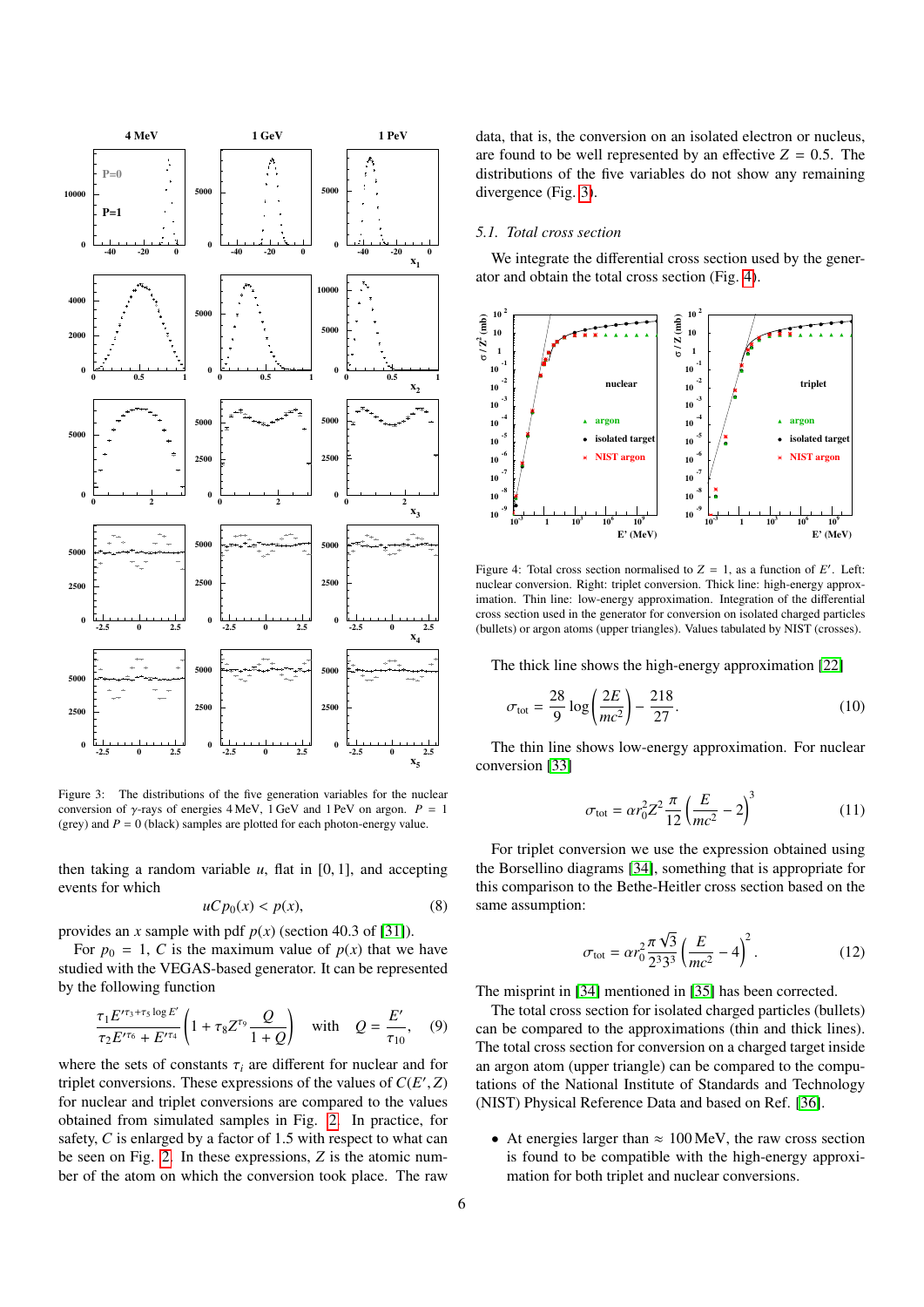

<span id="page-5-1"></span>Figure 3: The distributions of the five generation variables for the nuclear conversion of  $\gamma$ -rays of energies 4 MeV, 1 GeV and 1 PeV on argon. *P* = 1 (grey) and  $P = 0$  (black) samples are plotted for each photon-energy value.

then taking a random variable  $u$ , flat in  $[0, 1]$ , and accepting events for which

$$
uC p_0(x) < p(x),\tag{8}
$$

provides an *x* sample with pdf *p*(*x*) (section 40.3 of [\[31\]](#page-8-30)).

For  $p_0 = 1$ , *C* is the maximum value of  $p(x)$  that we have studied with the VEGAS-based generator. It can be represented by the following function

<span id="page-5-0"></span>
$$
\frac{\tau_1 E^{r_{13} + \tau_5 \log E'}}{\tau_2 E^{r_{16}} + E^{r_{14}}} \left( 1 + \tau_8 Z^{\tau_9} \frac{Q}{1 + Q} \right) \quad \text{with} \quad Q = \frac{E'}{\tau_{10}}, \quad (9)
$$

where the sets of constants  $\tau_i$  are different for nuclear and for triplet conversions. These expressions of the values of  $C(E', Z)$ <br>for nuclear and triplet conversions are compared to the values for nuclear and triplet conversions are compared to the values obtained from simulated samples in Fig. [2.](#page-4-0) In practice, for safety, *C* is enlarged by a factor of 1.5 with respect to what can be seen on Fig. [2.](#page-4-0) In these expressions, *Z* is the atomic number of the atom on which the conversion took place. The raw

data, that is, the conversion on an isolated electron or nucleus, are found to be well represented by an effective  $Z = 0.5$ . The distributions of the five variables do not show any remaining divergence (Fig. [3\)](#page-5-1).

# *5.1. Total cross section*

We integrate the differential cross section used by the generator and obtain the total cross section (Fig. [4\)](#page-5-2).



<span id="page-5-2"></span>Figure 4: Total cross section normalised to  $Z = 1$ , as a function of E'. Left: nuclear conversion. Right: triplet conversion. Thick line: high-energy approximation. Thin line: low-energy approximation. Integration of the differential cross section used in the generator for conversion on isolated charged particles (bullets) or argon atoms (upper triangles). Values tabulated by NIST (crosses).

The thick line shows the high-energy approximation [\[22\]](#page-8-21)

$$
\sigma_{\text{tot}} = \frac{28}{9} \log \left( \frac{2E}{mc^2} \right) - \frac{218}{27}.
$$
 (10)

The thin line shows low-energy approximation. For nuclear conversion [\[33\]](#page-8-32)

$$
\sigma_{\text{tot}} = \alpha r_0^2 Z^2 \frac{\pi}{12} \left( \frac{E}{mc^2} - 2 \right)^3 \tag{11}
$$

For triplet conversion we use the expression obtained using the Borsellino diagrams [\[34\]](#page-8-33), something that is appropriate for this comparison to the Bethe-Heitler cross section based on the same assumption:

$$
\sigma_{\text{tot}} = \alpha r_0^2 \frac{\pi \sqrt{3}}{2^3 3^3} \left(\frac{E}{mc^2} - 4\right)^2.
$$
 (12)

The misprint in [\[34\]](#page-8-33) mentioned in [\[35\]](#page-8-34) has been corrected.

The total cross section for isolated charged particles (bullets) can be compared to the approximations (thin and thick lines). The total cross section for conversion on a charged target inside an argon atom (upper triangle) can be compared to the computations of the National Institute of Standards and Technology (NIST) Physical Reference Data and based on Ref. [\[36\]](#page-8-35).

• At energies larger than  $\approx 100 \,\text{MeV}$ , the raw cross section is found to be compatible with the high-energy approximation for both triplet and nuclear conversions.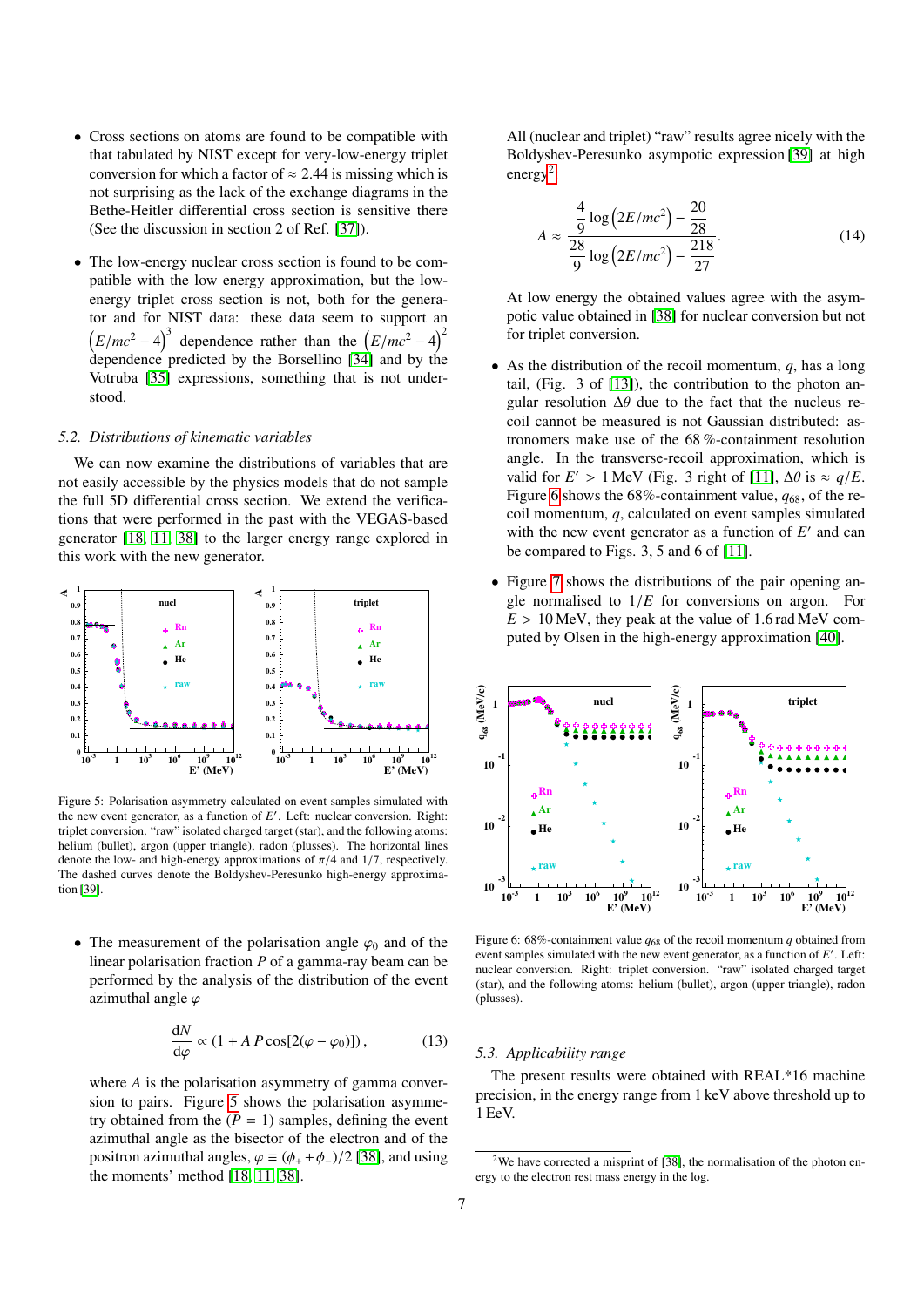- Cross sections on atoms are found to be compatible with that tabulated by NIST except for very-low-energy triplet conversion for which a factor of  $\approx 2.44$  is missing which is not surprising as the lack of the exchange diagrams in the Bethe-Heitler differential cross section is sensitive there (See the discussion in section 2 of Ref. [\[37\]](#page-8-36)).
- The low-energy nuclear cross section is found to be compatible with the low energy approximation, but the lowenergy triplet cross section is not, both for the generator and for NIST data: these data seem to support an  $(E/mc^2 - 4)^3$  dependence rather than the  $(E/mc^2 - 4)^2$ <br>dependence predicted by the Borselling [341 and by the dependence predicted by the Borsellino  $[34]$  and by the Votruba [\[35\]](#page-8-34) expressions, something that is not understood.

# *5.2. Distributions of kinematic variables*

We can now examine the distributions of variables that are not easily accessible by the physics models that do not sample the full 5D differential cross section. We extend the verifications that were performed in the past with the VEGAS-based generator [\[18,](#page-8-17) [11,](#page-8-10) [38\]](#page-8-37) to the larger energy range explored in this work with the new generator.



<span id="page-6-0"></span>Figure 5: Polarisation asymmetry calculated on event samples simulated with the new event generator, as a function of  $E'$ . Left: nuclear conversion. Right: triplet conversion. "raw" isolated charged target (star), and the following atoms: helium (bullet), argon (upper triangle), radon (plusses). The horizontal lines denote the low- and high-energy approximations of  $\pi/4$  and 1/7, respectively. The dashed curves denote the Boldyshev-Peresunko high-energy approximation [\[39\]](#page-8-38).

• The measurement of the polarisation angle  $\varphi_0$  and of the linear polarisation fraction *P* of a gamma-ray beam can be performed by the analysis of the distribution of the event azimuthal angle  $\varphi$ 

$$
\frac{dN}{d\varphi} \propto (1 + A P \cos[2(\varphi - \varphi_0)]), \quad (13)
$$

where *A* is the polarisation asymmetry of gamma conversion to pairs. Figure [5](#page-6-0) shows the polarisation asymmetry obtained from the  $(P = 1)$  samples, defining the event azimuthal angle as the bisector of the electron and of the positron azimuthal angles,  $\varphi \equiv (\phi_+ + \phi_-)/2$  [\[38\]](#page-8-37), and using the moments' method [\[18,](#page-8-17) [11,](#page-8-10) [38\]](#page-8-37).

All (nuclear and triplet) "raw" results agree nicely with the Boldyshev-Peresunko asympotic expression [\[39\]](#page-8-38) at high energy<sup>[2](#page-6-1)</sup>:

$$
A \approx \frac{\frac{4}{9}\log(2E/mc^2) - \frac{20}{28}}{\frac{28}{9}\log(2E/mc^2) - \frac{218}{27}}.
$$
 (14)

At low energy the obtained values agree with the asympotic value obtained in [\[38\]](#page-8-37) for nuclear conversion but not for triplet conversion.

- As the distribution of the recoil momentum,  $q$ , has a long tail, (Fig. 3 of [\[13\]](#page-8-12)), the contribution to the photon angular resolution  $\Delta\theta$  due to the fact that the nucleus recoil cannot be measured is not Gaussian distributed: astronomers make use of the 68 %-containment resolution angle. In the transverse-recoil approximation, which is valid for  $E' > 1$  MeV (Fig. 3 right of [\[11\]](#page-8-10),  $\Delta \theta$  is  $\approx q/E$ .<br>Figure 6 shows the 68%-containment value,  $q_{\text{SC}}$  of the re-Figure [6](#page-6-2) shows the  $68\%$ -containment value,  $q_{68}$ , of the recoil momentum, *q*, calculated on event samples simulated with the new event generator as a function of  $E'$  and can be compared to Figs. 3, 5 and 6 of [\[11\]](#page-8-10).
- Figure [7](#page-7-0) shows the distributions of the pair opening angle normalised to  $1/E$  for conversions on argon. For  $E > 10$  MeV, they peak at the value of 1.6 rad MeV computed by Olsen in the high-energy approximation [\[40\]](#page-8-39).



<span id="page-6-2"></span>Figure 6: 68%-containment value  $q_{68}$  of the recoil momentum  $q$  obtained from event samples simulated with the new event generator, as a function of  $E'$ . Left: nuclear conversion. Right: triplet conversion. "raw" isolated charged target (star), and the following atoms: helium (bullet), argon (upper triangle), radon (plusses).

# *5.3. Applicability range*

The present results were obtained with REAL\*16 machine precision, in the energy range from 1 keV above threshold up to 1 EeV.

<span id="page-6-1"></span><sup>&</sup>lt;sup>2</sup>We have corrected a misprint of [\[38\]](#page-8-37), the normalisation of the photon energy to the electron rest mass energy in the log.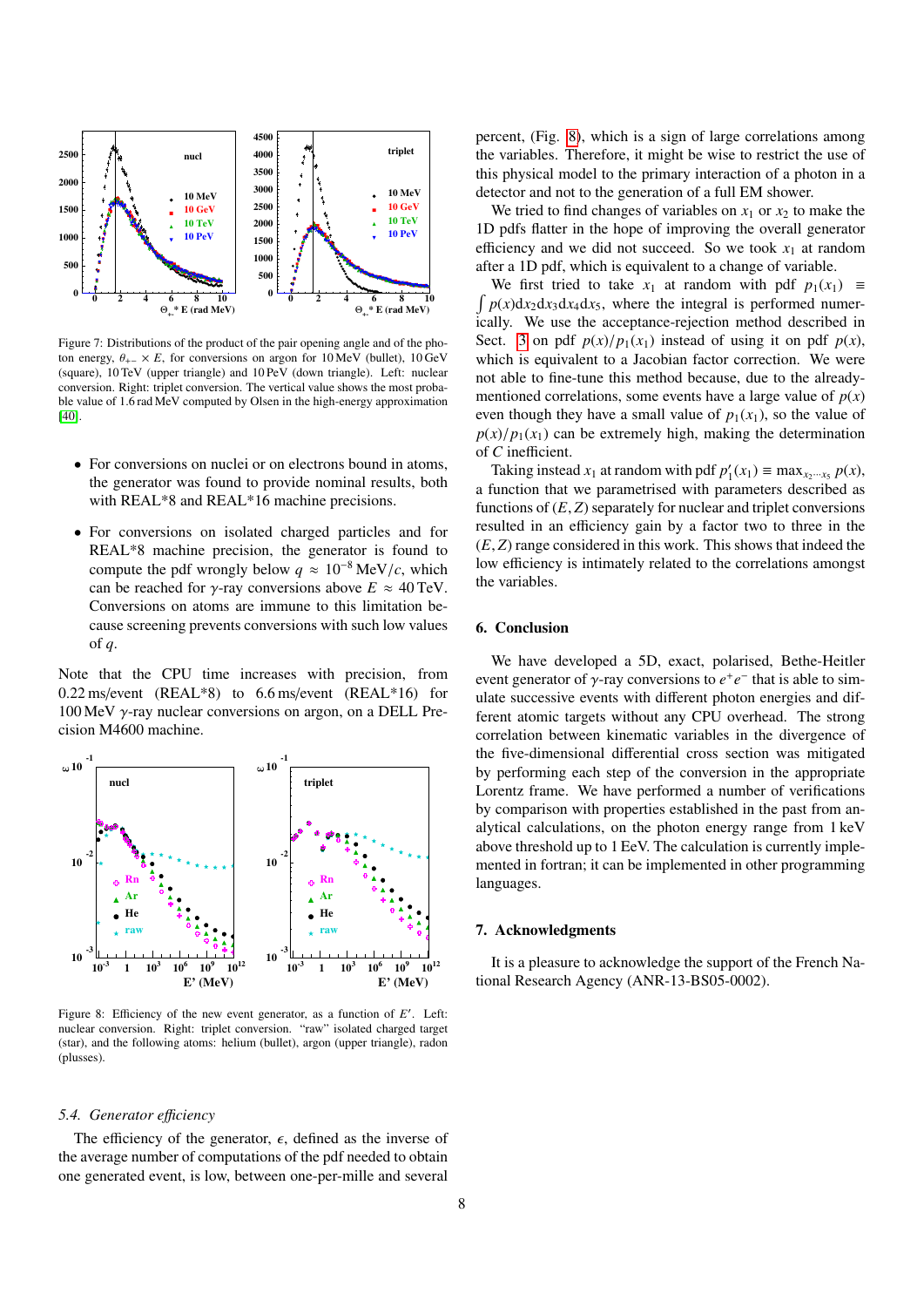

<span id="page-7-0"></span>Figure 7: Distributions of the product of the pair opening angle and of the photon energy,  $\theta_{+-} \times E$ , for conversions on argon for 10 MeV (bullet), 10 GeV (square), 10 TeV (upper triangle) and 10 PeV (down triangle). Left: nuclear conversion. Right: triplet conversion. The vertical value shows the most probable value of 1.6 rad MeV computed by Olsen in the high-energy approximation [\[40\]](#page-8-39).

- For conversions on nuclei or on electrons bound in atoms, the generator was found to provide nominal results, both with REAL\*8 and REAL\*16 machine precisions.
- For conversions on isolated charged particles and for REAL\*8 machine precision, the generator is found to compute the pdf wrongly below  $q \approx 10^{-8}$  MeV/*c*, which can be reached for *γ*-ray conversions above  $E \approx 40 \text{ TeV}$ . Conversions on atoms are immune to this limitation because screening prevents conversions with such low values of *q*.

Note that the CPU time increases with precision, from  $0.22$  ms/event (REAL\*8) to  $6.6$  ms/event (REAL\*16) for 100 MeV γ-ray nuclear conversions on argon, on a DELL Precision M4600 machine.



<span id="page-7-1"></span>Figure 8: Efficiency of the new event generator, as a function of E'. Left: nuclear conversion. Right: triplet conversion. "raw" isolated charged target (star), and the following atoms: helium (bullet), argon (upper triangle), radon (plusses).

### *5.4. Generator e*ffi*ciency*

The efficiency of the generator,  $\epsilon$ , defined as the inverse of the average number of computations of the pdf needed to obtain one generated event, is low, between one-per-mille and several

percent, (Fig. [8\)](#page-7-1), which is a sign of large correlations among the variables. Therefore, it might be wise to restrict the use of this physical model to the primary interaction of a photon in a detector and not to the generation of a full EM shower.

We tried to find changes of variables on  $x_1$  or  $x_2$  to make the 1D pdfs flatter in the hope of improving the overall generator efficiency and we did not succeed. So we took  $x_1$  at random after a 1D pdf, which is equivalent to a change of variable.

 $\int p(x)dx_2dx_3dx_4dx_5$ , where the integral is performed numer-We first tried to take  $x_1$  at random with pdf  $p_1(x_1) \equiv$ ically. We use the acceptance-rejection method described in Sect. [3](#page-2-0) on pdf  $p(x)/p_1(x_1)$  instead of using it on pdf  $p(x)$ , which is equivalent to a Jacobian factor correction. We were not able to fine-tune this method because, due to the alreadymentioned correlations, some events have a large value of  $p(x)$ even though they have a small value of  $p_1(x_1)$ , so the value of  $p(x)/p_1(x_1)$  can be extremely high, making the determination of *C* inefficient.

Taking instead  $x_1$  at random with pdf  $p'_1(x_1) \equiv \max_{x_2 \cdots x_5} p(x)$ , a function that we parametrised with parameters described as functions of  $(E, Z)$  separately for nuclear and triplet conversions resulted in an efficiency gain by a factor two to three in the (*E*, *<sup>Z</sup>*) range considered in this work. This shows that indeed the low efficiency is intimately related to the correlations amongst the variables.

## 6. Conclusion

We have developed a 5D, exact, polarised, Bethe-Heitler event generator of  $\gamma$ -ray conversions to  $e^+e^-$  that is able to sim-<br>ulate successive events with different photon energies and difulate successive events with different photon energies and different atomic targets without any CPU overhead. The strong correlation between kinematic variables in the divergence of the five-dimensional differential cross section was mitigated by performing each step of the conversion in the appropriate Lorentz frame. We have performed a number of verifications by comparison with properties established in the past from analytical calculations, on the photon energy range from 1 keV above threshold up to 1 EeV. The calculation is currently implemented in fortran; it can be implemented in other programming languages.

#### 7. Acknowledgments

It is a pleasure to acknowledge the support of the French National Research Agency (ANR-13-BS05-0002).